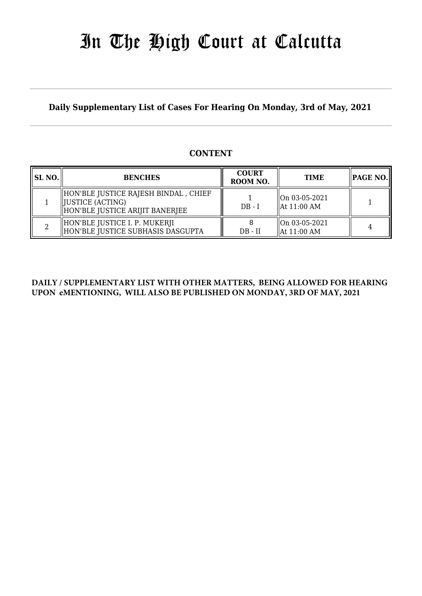# In The High Court at Calcutta

**Daily Supplementary List of Cases For Hearing On Monday, 3rd of May, 2021**

#### **CONTENT**

| <b>SL NO.</b> | <b>BENCHES</b>                                                                                 | <b>COURT</b><br>ROOM NO. | <b>TIME</b>                              | PAGE NO. |
|---------------|------------------------------------------------------------------------------------------------|--------------------------|------------------------------------------|----------|
|               | HON'BLE JUSTICE RAJESH BINDAL , CHIEF<br>  JUSTICE (ACTING)<br>HON'BLE JUSTICE ARIJIT BANERJEE | $DB - I$                 | On 03-05-2021<br>$\parallel$ At 11:00 AM |          |
|               | HON'BLE JUSTICE I. P. MUKERJI<br>HON'BLE JUSTICE SUBHASIS DASGUPTA                             | $DB - II$                | On 03-05-2021<br>$\parallel$ At 11:00 AM |          |

#### **DAILY / SUPPLEMENTARY LIST WITH OTHER MATTERS, BEING ALLOWED FOR HEARING UPON eMENTIONING, WILL ALSO BE PUBLISHED ON MONDAY, 3RD OF MAY, 2021**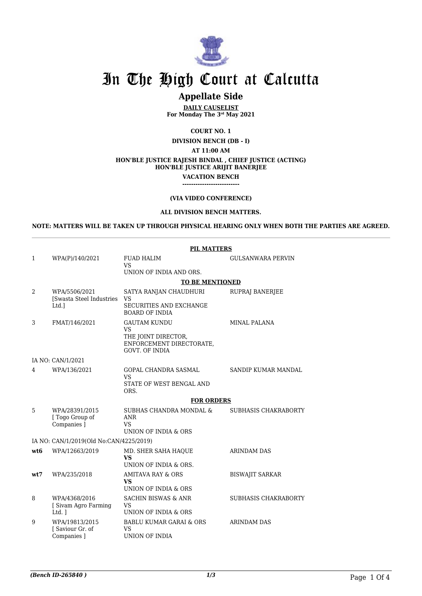

## In The High Court at Calcutta

### **Appellate Side**

**DAILY CAUSELIST For Monday The 3rd May 2021**

**COURT NO. 1**

**DIVISION BENCH (DB - I)**

**AT 11:00 AM**

#### **HON'BLE JUSTICE RAJESH BINDAL , CHIEF JUSTICE (ACTING)**

**HON'BLE JUSTICE ARIJIT BANERJEE**

**VACATION BENCH --------------------------**

#### **(VIA VIDEO CONFERENCE)**

#### **ALL DIVISION BENCH MATTERS.**

**NOTE: MATTERS WILL BE TAKEN UP THROUGH PHYSICAL HEARING ONLY WHEN BOTH THE PARTIES ARE AGREED.**

|                | <b>PIL MATTERS</b>                                |                                                                                       |                          |  |  |
|----------------|---------------------------------------------------|---------------------------------------------------------------------------------------|--------------------------|--|--|
| 1              | WPA(P)/140/2021                                   | <b>FUAD HALIM</b><br><b>VS</b><br>UNION OF INDIA AND ORS.                             | <b>GULSANWARA PERVIN</b> |  |  |
|                |                                                   |                                                                                       |                          |  |  |
| $\overline{2}$ | WPA/5506/2021                                     | <b>TO BE MENTIONED</b><br>SATYA RANJAN CHAUDHURI<br>RUPRAJ BANERJEE                   |                          |  |  |
|                | [Swasta Steel Industries<br>Ltd.]                 | <b>VS</b><br>SECURITIES AND EXCHANGE<br><b>BOARD OF INDIA</b>                         |                          |  |  |
| 3              | FMAT/146/2021                                     | <b>GAUTAM KUNDU</b>                                                                   | <b>MINAL PALANA</b>      |  |  |
|                |                                                   | <b>VS</b><br>THE JOINT DIRECTOR,<br>ENFORCEMENT DIRECTORATE,<br><b>GOVT. OF INDIA</b> |                          |  |  |
|                | IA NO: CAN/1/2021                                 |                                                                                       |                          |  |  |
| 4              | WPA/136/2021                                      | GOPAL CHANDRA SASMAL                                                                  | SANDIP KUMAR MANDAL      |  |  |
|                |                                                   | VS<br>STATE OF WEST BENGAL AND<br>ORS.                                                |                          |  |  |
|                |                                                   | <b>FOR ORDERS</b>                                                                     |                          |  |  |
| 5              | WPA/28391/2015<br>[ Togo Group of<br>Companies ]  | SUBHAS CHANDRA MONDAL &<br>ANR<br><b>VS</b><br>UNION OF INDIA & ORS                   | SUBHASIS CHAKRABORTY     |  |  |
|                | IA NO: CAN/1/2019(Old No:CAN/4225/2019)           |                                                                                       |                          |  |  |
| wt6            | WPA/12663/2019                                    | MD. SHER SAHA HAQUE                                                                   | <b>ARINDAM DAS</b>       |  |  |
|                |                                                   | <b>VS</b><br>UNION OF INDIA & ORS.                                                    |                          |  |  |
| wt7            | WPA/235/2018                                      | <b>AMITAVA RAY &amp; ORS</b><br><b>VS</b><br>UNION OF INDIA & ORS                     | <b>BISWAJIT SARKAR</b>   |  |  |
| 8              | WPA/4368/2016<br>[ Sivam Agro Farming<br>$Ltd.$ ] | <b>SACHIN BISWAS &amp; ANR</b><br><b>VS</b><br>UNION OF INDIA & ORS                   | SUBHASIS CHAKRABORTY     |  |  |
| 9              | WPA/19813/2015<br>[Saviour Gr. of<br>Companies ]  | <b>BABLU KUMAR GARAI &amp; ORS</b><br><b>VS</b><br>UNION OF INDIA                     | ARINDAM DAS              |  |  |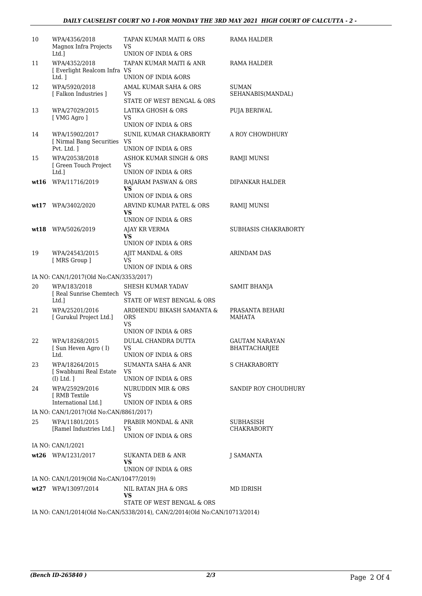| 10 | WPA/4356/2018<br>Magnox Infra Projects<br>Ltd.1               | TAPAN KUMAR MAITI & ORS<br>VS<br>UNION OF INDIA & ORS                                                    | RAMA HALDER                            |
|----|---------------------------------------------------------------|----------------------------------------------------------------------------------------------------------|----------------------------------------|
| 11 | WPA/4352/2018<br>[ Everlight Realcom Infra VS<br>Ltd. $\vert$ | TAPAN KUMAR MAITI & ANR<br>UNION OF INDIA &ORS                                                           | RAMA HALDER                            |
| 12 | WPA/5920/2018<br>[Falkon Industries]                          | AMAL KUMAR SAHA & ORS<br>VS<br>STATE OF WEST BENGAL & ORS                                                | SUMAN<br>SEHANABIS(MANDAL)             |
| 13 | WPA/27029/2015<br>[ VMG Agro ]                                | LATIKA GHOSH & ORS<br>VS<br>UNION OF INDIA & ORS                                                         | PUJA BERIWAL                           |
| 14 | WPA/15902/2017<br>[ Nirmal Bang Securities VS<br>Pvt. Ltd. 1  | SUNIL KUMAR CHAKRABORTY<br>UNION OF INDIA & ORS                                                          | A ROY CHOWDHURY                        |
| 15 | WPA/20538/2018<br>[ Green Touch Project<br>Ltd.]              | ASHOK KUMAR SINGH & ORS<br>VS<br>UNION OF INDIA & ORS                                                    | RAMJI MUNSI                            |
|    | wt16 WPA/11716/2019                                           | RAJARAM PASWAN & ORS<br><b>VS</b><br>UNION OF INDIA & ORS                                                | DIPANKAR HALDER                        |
|    | wt17 WPA/3402/2020                                            | ARVIND KUMAR PATEL & ORS<br>VS                                                                           | RAMIJ MUNSI                            |
|    | wt18 WPA/5026/2019                                            | UNION OF INDIA & ORS<br>AJAY KR VERMA<br>VS<br>UNION OF INDIA & ORS                                      | SUBHASIS CHAKRABORTY                   |
| 19 | WPA/24543/2015<br>[MRS Group ]                                | AJIT MANDAL & ORS<br>VS.<br>UNION OF INDIA & ORS                                                         | ARINDAM DAS                            |
|    | IA NO: CAN/1/2017(Old No:CAN/3353/2017)                       |                                                                                                          |                                        |
| 20 | WPA/183/2018<br>[ Real Sunrise Chemtech VS<br>Ltd.]           | SHESH KUMAR YADAV<br>STATE OF WEST BENGAL & ORS                                                          | SAMIT BHANJA                           |
| 21 | WPA/25201/2016<br>[ Gurukul Project Ltd.]                     | ARDHENDU BIKASH SAMANTA &<br><b>ORS</b><br>VS.                                                           | PRASANTA BEHARI<br>MAHATA              |
|    |                                                               | UNION OF INDIA & ORS                                                                                     |                                        |
| 22 | WPA/18268/2015<br>[Sun Heven Agro (I)<br>Ltd.                 | DULAL CHANDRA DUTTA<br>VS<br>UNION OF INDIA & ORS                                                        | <b>GAUTAM NARAYAN</b><br>BHATTACHARJEE |
| 23 | WPA/18264/2015<br>[ Swabhumi Real Estate<br>$(I)$ Ltd. $]$    | <b>SUMANTA SAHA &amp; ANR</b><br>VS<br>UNION OF INDIA & ORS                                              | S CHAKRABORTY                          |
| 24 | WPA/25929/2016<br>[ RMB Textile<br>International Ltd.1        | NURUDDIN MIR & ORS<br>VS<br>UNION OF INDIA & ORS                                                         | SANDIP ROY CHOUDHURY                   |
|    | IA NO: CAN/1/2017(Old No:CAN/8861/2017)                       |                                                                                                          |                                        |
| 25 | WPA/11801/2015<br>[Ramel Industries Ltd.]                     | PRABIR MONDAL & ANR<br>VS<br>UNION OF INDIA & ORS                                                        | SUBHASISH<br><b>CHAKRABORTY</b>        |
|    | IA NO: CAN/1/2021                                             |                                                                                                          |                                        |
|    | wt26 WPA/1231/2017                                            | SUKANTA DEB & ANR<br>VS<br>UNION OF INDIA & ORS                                                          | J SAMANTA                              |
|    | IA NO: CAN/1/2019(Old No:CAN/10477/2019)                      |                                                                                                          |                                        |
|    | wt27 WPA/13097/2014                                           | NIL RATAN JHA & ORS<br>VS                                                                                | MD IDRISH                              |
|    |                                                               | STATE OF WEST BENGAL & ORS<br>IA NO: CAN/1/2014(Old No:CAN/5338/2014), CAN/2/2014(Old No:CAN/10713/2014) |                                        |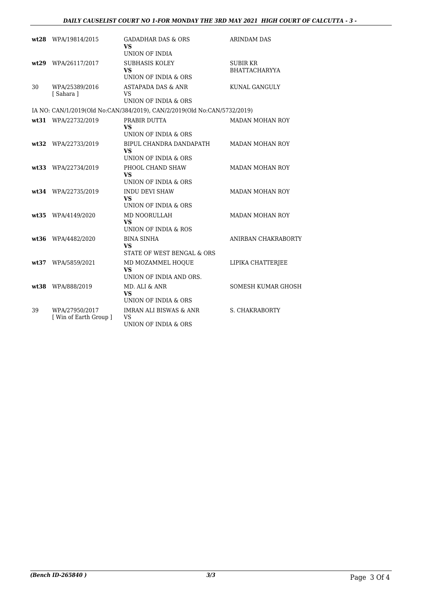#### *DAILY CAUSELIST COURT NO 1-FOR MONDAY THE 3RD MAY 2021 HIGH COURT OF CALCUTTA - 3 -*

|    | wt28 WPA/19814/2015                      | GADADHAR DAS & ORS<br><b>VS</b><br>UNION OF INDIA                        | <b>ARINDAM DAS</b>               |
|----|------------------------------------------|--------------------------------------------------------------------------|----------------------------------|
|    | wt29 WPA/26117/2017                      | <b>SUBHASIS KOLEY</b><br><b>VS</b><br>UNION OF INDIA & ORS               | SUBIR KR<br><b>BHATTACHARYYA</b> |
| 30 | WPA/25389/2016<br>[Sahara]               | <b>ASTAPADA DAS &amp; ANR</b><br>VS<br>UNION OF INDIA & ORS              | KUNAL GANGULY                    |
|    |                                          | IA NO: CAN/1/2019(Old No:CAN/384/2019), CAN/2/2019(Old No:CAN/5732/2019) |                                  |
|    | wt31 WPA/22732/2019                      | PRABIR DUTTA<br>VS<br>UNION OF INDIA & ORS                               | MADAN MOHAN ROY                  |
|    | wt32 WPA/22733/2019                      | BIPUL CHANDRA DANDAPATH<br>VS.<br>UNION OF INDIA & ORS                   | <b>MADAN MOHAN ROY</b>           |
|    | wt33 WPA/22734/2019                      | PHOOL CHAND SHAW<br><b>VS</b><br>UNION OF INDIA & ORS                    | <b>MADAN MOHAN ROY</b>           |
|    | wt34 WPA/22735/2019                      | <b>INDU DEVI SHAW</b><br>VS.<br>UNION OF INDIA & ORS                     | <b>MADAN MOHAN ROY</b>           |
|    | wt35 WPA/4149/2020                       | MD NOORULLAH<br><b>VS</b><br>UNION OF INDIA & ROS                        | <b>MADAN MOHAN ROY</b>           |
|    | wt36 WPA/4482/2020                       | <b>BINA SINHA</b><br>VS.<br>STATE OF WEST BENGAL & ORS                   | ANIRBAN CHAKRABORTY              |
|    | wt37 WPA/5859/2021                       | MD MOZAMMEL HOQUE<br><b>VS</b><br>UNION OF INDIA AND ORS.                | LIPIKA CHATTERJEE                |
|    | wt38 WPA/888/2019                        | MD. ALI & ANR<br><b>VS</b><br>UNION OF INDIA & ORS                       | SOMESH KUMAR GHOSH               |
| 39 | WPA/27950/2017<br>[ Win of Earth Group ] | <b>IMRAN ALI BISWAS &amp; ANR</b><br>VS<br>UNION OF INDIA & ORS          | <b>S. CHAKRABORTY</b>            |